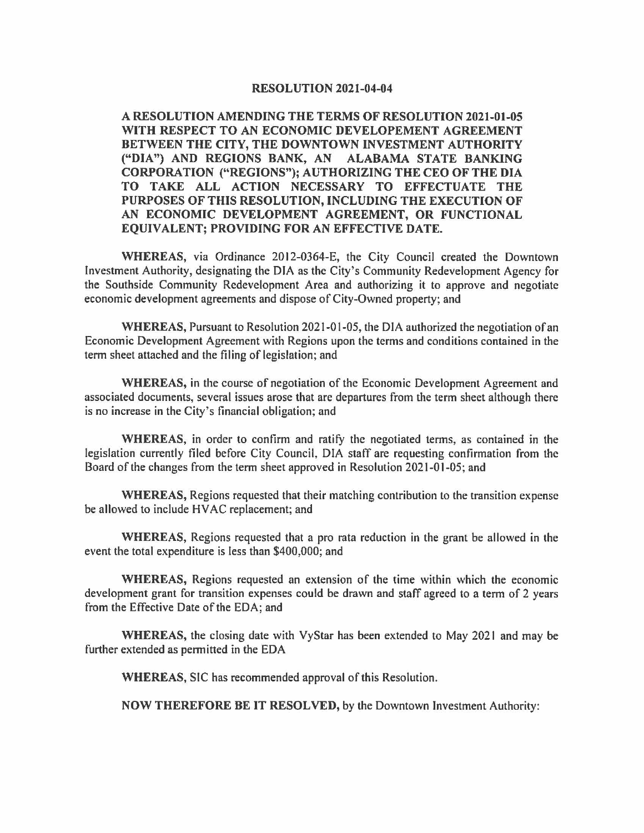## **RESOLUTION 2021-04-04**

**A RESOLUTION AMENDING THE TERMS OF RESOLUTION 2021-01-05 WITH RESPECT TO AN ECONOMIC DEVELOPEMENT AGREEMENT BETWEEN THE CITY, THE DOWNTOWN INVESTMENT AUTHORITY ("DIA") AND REGIONS BANK, AN ALABAMA STATE BANKING CORPORATION ("REGIONS"); AUTHORIZING THE CEO OF THE DIA TO TAKE ALL ACTION NECESSARY TO EFFECTUATE THE PURPOSES OF THIS RESOLUTION, INCLUDING THE EXECUTION OF AN ECONOMIC DEVELOPMENT AGREEMENT, OR FUNCTIONAL EQUIVALENT; PROVIDING FOR AN EFFECTIVE DATE.** 

**WHEREAS,** via Ordinance 2012-0364-E, the City Council created the Downtown Investment Authority, designating the DIA as the City's Community Redevelopment Agency for the Southside Community Redevelopment Area and authorizing it to approve and negotiate economic development agreements and dispose of City-Owned property; and

**WHEREAS,** Pursuant to Resolution 2021-01-05, the DIA authorized the negotiation of an Economic Development Agreement with Regions upon the terms and conditions contained in the term sheet attached and the filing of legislation; and

**WHEREAS,** in the course of negotiation of the Economic Development Agreement and associated documents, several issues arose that are departures from the term sheet although there is no increase in the City's financial obligation; and

**WHEREAS,** in order to confirm and ratify the negotiated terms, as contained in the legislation currently filed before City Council, DIA staff are requesting confirmation from the Board of the changes from the term sheet approved in Resolution 2021-01-05; and

**WHEREAS,** Regions requested that their matching contribution to the transition expense be allowed to include HVAC replacement; and

**WHEREAS,** Regions requested that a pro rata reduction in the grant be allowed in the event the total expenditure is less than \$400,000; and

**WHEREAS,** Regions requested an extension of the time within which the economic development grant for transition expenses could be drawn and staff agreed to a term of 2 years from the Effective Date of the EDA; and

**WHEREAS,** the closing date with VyStar has been extended to May 2021 and may be further extended as permitted in the EDA

**WHEREAS,** SIC has recommended approval of this Resolution.

**NOW THEREFORE BE IT RESOLVED,** by the Downtown Investment Authority: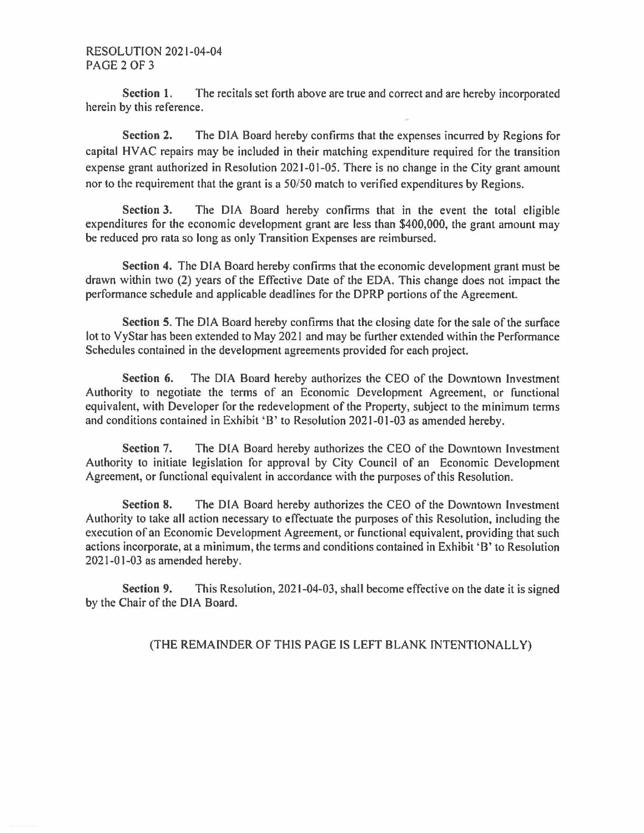## RESOLUTION 2021-04-04 PAGE2OF3

**Section 1.** The recitals set forth above are true and correct and are hereby incorporated herein by this reference.

**Section 2.** The DIA Board hereby confirms that the expenses incurred by Regions for capital HV AC repairs may be included in their matching expenditure required for the transition expense grant authorized in Resolution 2021-01-05. There is no change in the City grant amount nor to the requirement that the grant is a 50/50 match to verified expenditures by Regions.

**Section 3.** The DIA Board hereby confirms that in the event the total eligible expenditures for the economic development grant are less than \$400,000, the grant amount may be reduced pro rata so long as only Transition Expenses are reimbursed.

**Section 4.** The DIA Board hereby confirms that the economic development grant must be drawn within two (2) years of the Effective Date of the EDA. This change does not impact the performance schedule and applicable deadlines for the DPRP portions of the Agreement.

**Section 5.** The DIA Board hereby confirms that the closing date for the sale of the surface lot to VyStar has been extended to May 2021 and may be further extended within the Performance Schedules contained in the development agreements provided for each project.

**Section 6.** The DIA Board hereby authorizes the CEO of the Downtown Investment Authority to negotiate the terms of an Economic Development Agreement, or functional equivalent, with Developer for the redevelopment of the Property, subject to the minimum terms and conditions contained in Exhibit 'B' to Resolution 2021-01-03 as amended hereby.

**Section** 7. The DIA Board hereby authorizes the CEO of the Downtown Investment Authority to initiate legislation for approval by City Council of an Economic Development Agreement, or functional equivalent in accordance with the purposes of this Resolution.

**Section 8.** The DIA Board hereby authorizes the CEO of the Downtown Investment Authority to take all action necessary to effectuate the purposes of this Resolution, including the execution of an Economic Development Agreement, or functional equivalent, providing that such actions incorporate, at a minimum, the terms and conditions contained in Exhibit 'B' to Resolution 2021-01-03 as amended hereby.

**Section 9.** This Resolution, 2021-04-03, shall become effective on the date it is signed by the Chair of the DIA Board.

(THE REMAINDER OF THIS PAGE IS LEFT BLANK INTENTIONALLY)